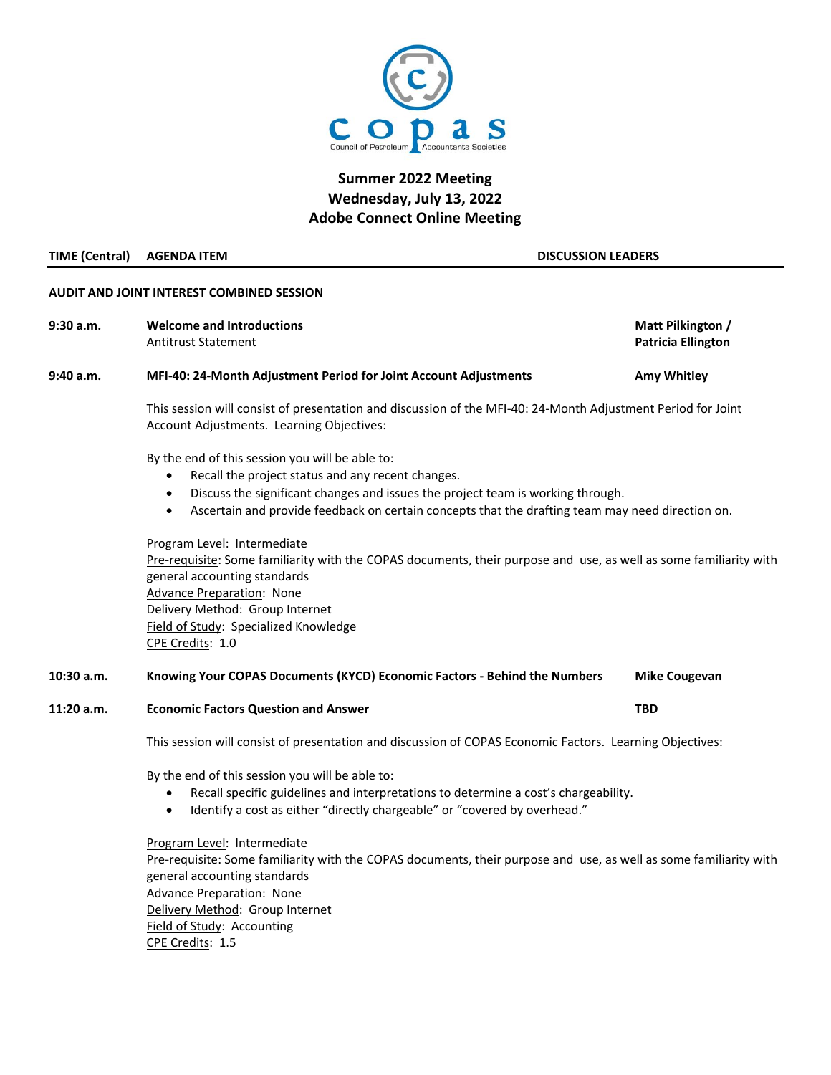

# **Summer 2022 Meeting Wednesday, July 13, 2022 Adobe Connect Online Meeting**

### **TIME (Central) AGENDA ITEM DISCUSSION LEADERS**

## **AUDIT AND JOINT INTEREST COMBINED SESSION**

9:30 a.m. **Melcome and Introductions** Matt Pilkington / Antitrust Statement **Patricia Ellington 9:40 a.m. MFI-40: 24-Month Adjustment Period for Joint Account Adjustments Amy Whitley**

> This session will consist of presentation and discussion of the MFI-40: 24-Month Adjustment Period for Joint Account Adjustments. Learning Objectives:

By the end of this session you will be able to:

- Recall the project status and any recent changes.
- Discuss the significant changes and issues the project team is working through.
- Ascertain and provide feedback on certain concepts that the drafting team may need direction on.

Program Level: Intermediate Pre-requisite: Some familiarity with the COPAS documents, their purpose and use, as well as some familiarity with general accounting standards Advance Preparation: None Delivery Method: Group Internet Field of Study: Specialized Knowledge CPE Credits: 1.0

### **10:30 a.m. Knowing Your COPAS Documents (KYCD) Economic Factors - Behind the Numbers Mike Cougevan**

**11:20 a.m. Economic Factors Question and Answer TBD**

This session will consist of presentation and discussion of COPAS Economic Factors. Learning Objectives:

By the end of this session you will be able to:

- Recall specific guidelines and interpretations to determine a cost's chargeability.
- Identify a cost as either "directly chargeable" or "covered by overhead."

Program Level: Intermediate Pre-requisite: Some familiarity with the COPAS documents, their purpose and use, as well as some familiarity with general accounting standards Advance Preparation: None Delivery Method: Group Internet Field of Study: Accounting CPE Credits: 1.5